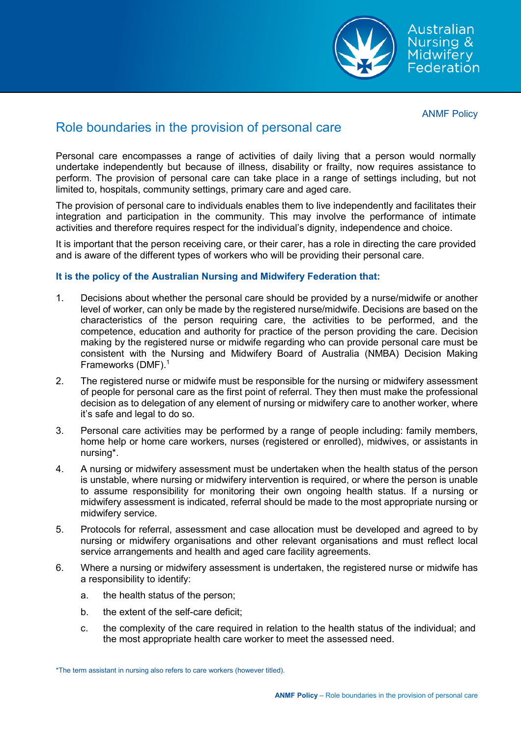

Australian Nursing & Midwifery Federation

ANMF Policy

## Role boundaries in the provision of personal care

Personal care encompasses a range of activities of daily living that a person would normally undertake independently but because of illness, disability or frailty, now requires assistance to perform. The provision of personal care can take place in a range of settings including, but not limited to, hospitals, community settings, primary care and aged care.

The provision of personal care to individuals enables them to live independently and facilitates their integration and participation in the community. This may involve the performance of intimate activities and therefore requires respect for the individual's dignity, independence and choice.

It is important that the person receiving care, or their carer, has a role in directing the care provided and is aware of the different types of workers who will be providing their personal care.

## **It is the policy of the Australian Nursing and Midwifery Federation that:**

- 1. Decisions about whether the personal care should be provided by a nurse/midwife or another level of worker, can only be made by the registered nurse/midwife. Decisions are based on the characteristics of the person requiring care, the activities to be performed, and the competence, education and authority for practice of the person providing the care. Decision making by the registered nurse or midwife regarding who can provide personal care must be consistent with the Nursing and Midwifery Board of Australia (NMBA) Decision Making Frameworks (DMF). $1$
- 2. The registered nurse or midwife must be responsible for the nursing or midwifery assessment of people for personal care as the first point of referral. They then must make the professional decision as to delegation of any element of nursing or midwifery care to another worker, where it's safe and legal to do so.
- 3. Personal care activities may be performed by a range of people including: family members, home help or home care workers, nurses (registered or enrolled), midwives, or assistants in nursing\*.
- 4. A nursing or midwifery assessment must be undertaken when the health status of the person is unstable, where nursing or midwifery intervention is required, or where the person is unable to assume responsibility for monitoring their own ongoing health status. If a nursing or midwifery assessment is indicated, referral should be made to the most appropriate nursing or midwifery service.
- 5. Protocols for referral, assessment and case allocation must be developed and agreed to by nursing or midwifery organisations and other relevant organisations and must reflect local service arrangements and health and aged care facility agreements.
- 6. Where a nursing or midwifery assessment is undertaken, the registered nurse or midwife has a responsibility to identify:
	- a. the health status of the person;
	- b. the extent of the self-care deficit;
	- c. the complexity of the care required in relation to the health status of the individual; and the most appropriate health care worker to meet the assessed need.

<sup>\*</sup>The term assistant in nursing also refers to care workers (however titled).